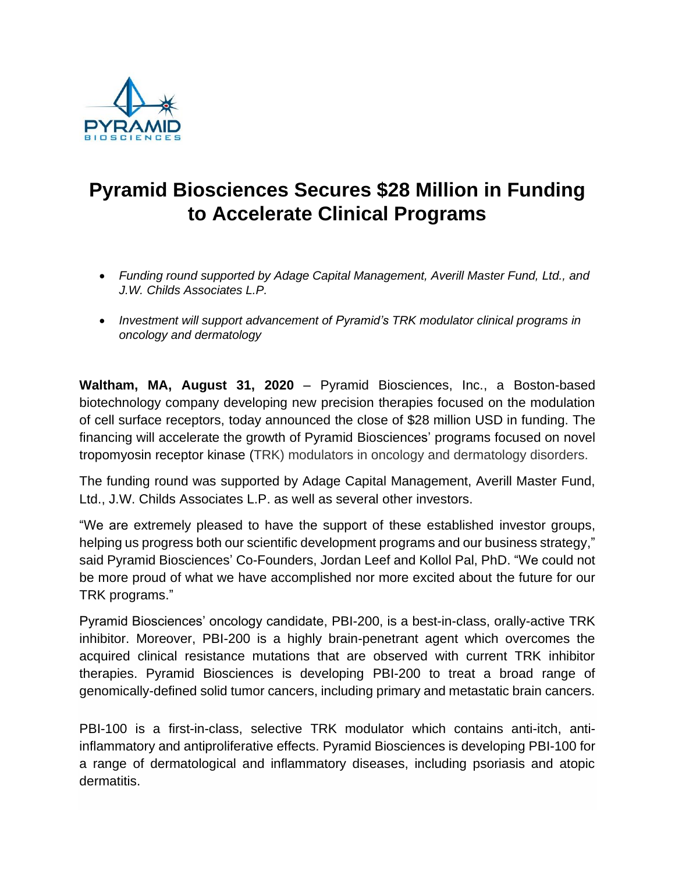

## **Pyramid Biosciences Secures \$28 Million in Funding to Accelerate Clinical Programs**

- *Funding round supported by Adage Capital Management, Averill Master Fund, Ltd., and J.W. Childs Associates L.P.*
- *Investment will support advancement of Pyramid's TRK modulator clinical programs in oncology and dermatology*

**Waltham, MA, August 31, 2020** – Pyramid Biosciences, Inc., a Boston-based biotechnology company developing new precision therapies focused on the modulation of cell surface receptors, today announced the close of \$28 million USD in funding. The financing will accelerate the growth of Pyramid Biosciences' programs focused on novel tropomyosin receptor kinase (TRK) modulators in oncology and dermatology disorders.

The funding round was supported by Adage Capital Management, Averill Master Fund, Ltd., J.W. Childs Associates L.P. as well as several other investors.

"We are extremely pleased to have the support of these established investor groups, helping us progress both our scientific development programs and our business strategy," said Pyramid Biosciences' Co-Founders, Jordan Leef and Kollol Pal, PhD. "We could not be more proud of what we have accomplished nor more excited about the future for our TRK programs."

Pyramid Biosciences' oncology candidate, PBI-200, is a best-in-class, orally-active TRK inhibitor. Moreover, PBI-200 is a highly brain-penetrant agent which overcomes the acquired clinical resistance mutations that are observed with current TRK inhibitor therapies. Pyramid Biosciences is developing PBI-200 to treat a broad range of genomically-defined solid tumor cancers, including primary and metastatic brain cancers.

PBI-100 is a first-in-class, selective TRK modulator which contains anti-itch, antiinflammatory and antiproliferative effects. Pyramid Biosciences is developing PBI-100 for a range of dermatological and inflammatory diseases, including psoriasis and atopic dermatitis.